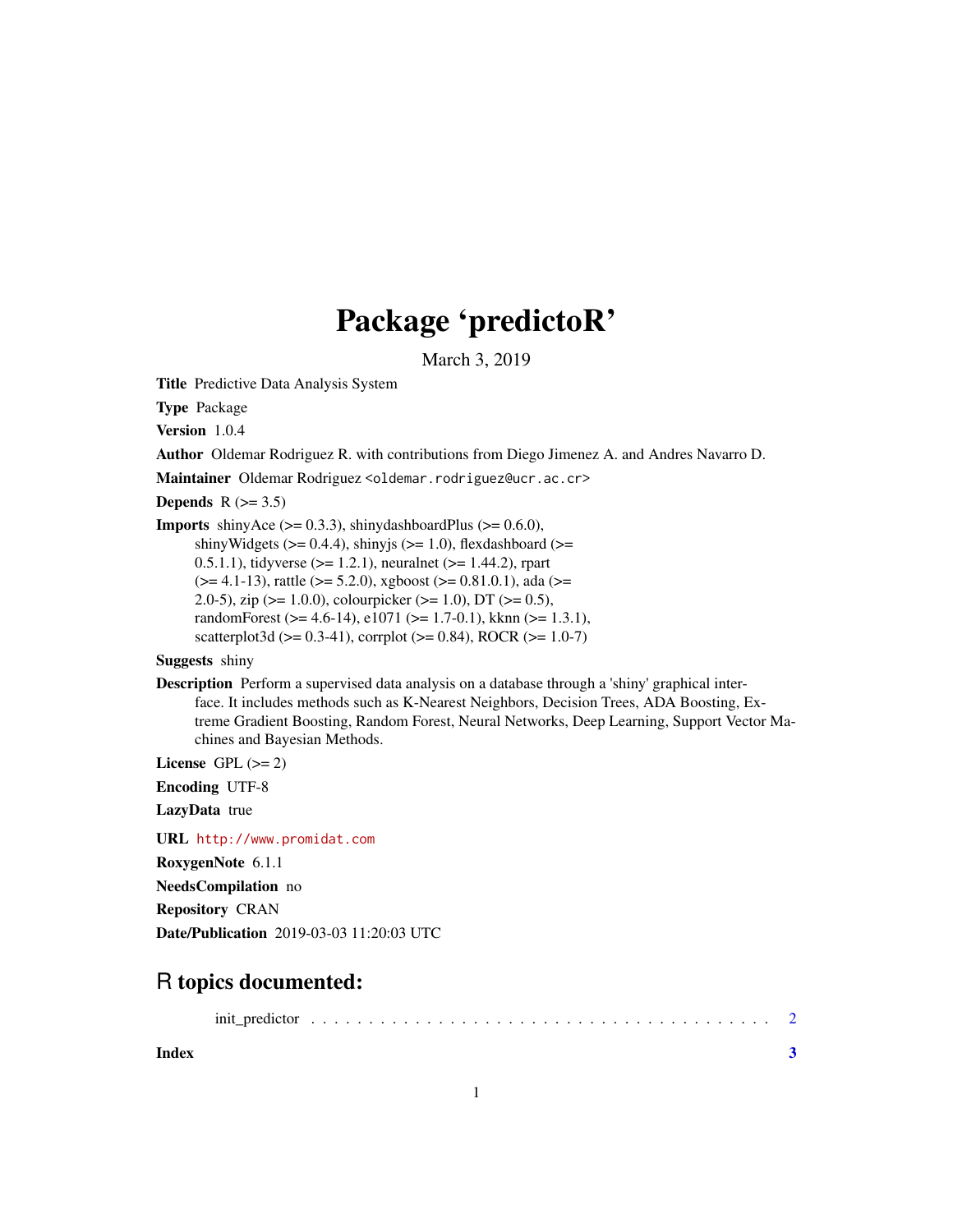## Package 'predictoR'

March 3, 2019

Title Predictive Data Analysis System

Type Package

Version 1.0.4

Author Oldemar Rodriguez R. with contributions from Diego Jimenez A. and Andres Navarro D.

Maintainer Oldemar Rodriguez <oldemar.rodriguez@ucr.ac.cr>

Depends  $R$  ( $> = 3.5$ )

**Imports** shinyAce  $(>= 0.3.3)$ , shinydashboardPlus  $(>= 0.6.0)$ , shinyWidgets ( $>= 0.4.4$ ), shinyjs ( $>= 1.0$ ), flexdashboard ( $>=$ 0.5.1.1), tidyverse  $(>= 1.2.1)$ , neuralnet  $(>= 1.44.2)$ , rpart  $(>= 4.1-13)$ , rattle  $(>= 5.2.0)$ , xgboost  $(>= 0.81.0.1)$ , ada  $(>= 0.81.0.1)$ 2.0-5), zip ( $>1.0.0$ ), colourpicker ( $>1.0$ ), DT ( $>0.5$ ), randomForest (>= 4.6-14), e1071 (>= 1.7-0.1), kknn (>= 1.3.1),

scatterplot3d ( $> = 0.3-41$ ), corrplot ( $>= 0.84$ ), ROCR ( $>= 1.0-7$ )

Suggests shiny

Description Perform a supervised data analysis on a database through a 'shiny' graphical interface. It includes methods such as K-Nearest Neighbors, Decision Trees, ADA Boosting, Extreme Gradient Boosting, Random Forest, Neural Networks, Deep Learning, Support Vector Machines and Bayesian Methods.

License GPL  $(>= 2)$ 

Encoding UTF-8

LazyData true

URL <http://www.promidat.com>

RoxygenNote 6.1.1

NeedsCompilation no

Repository CRAN

Date/Publication 2019-03-03 11:20:03 UTC

### R topics documented:

|--|--|--|--|--|--|--|--|--|--|--|--|--|--|--|--|--|--|--|--|--|--|--|--|--|--|--|--|--|--|--|--|--|--|--|--|--|--|--|--|--|--|--|--|--|--|--|--|--|

**Index** [3](#page-2-0)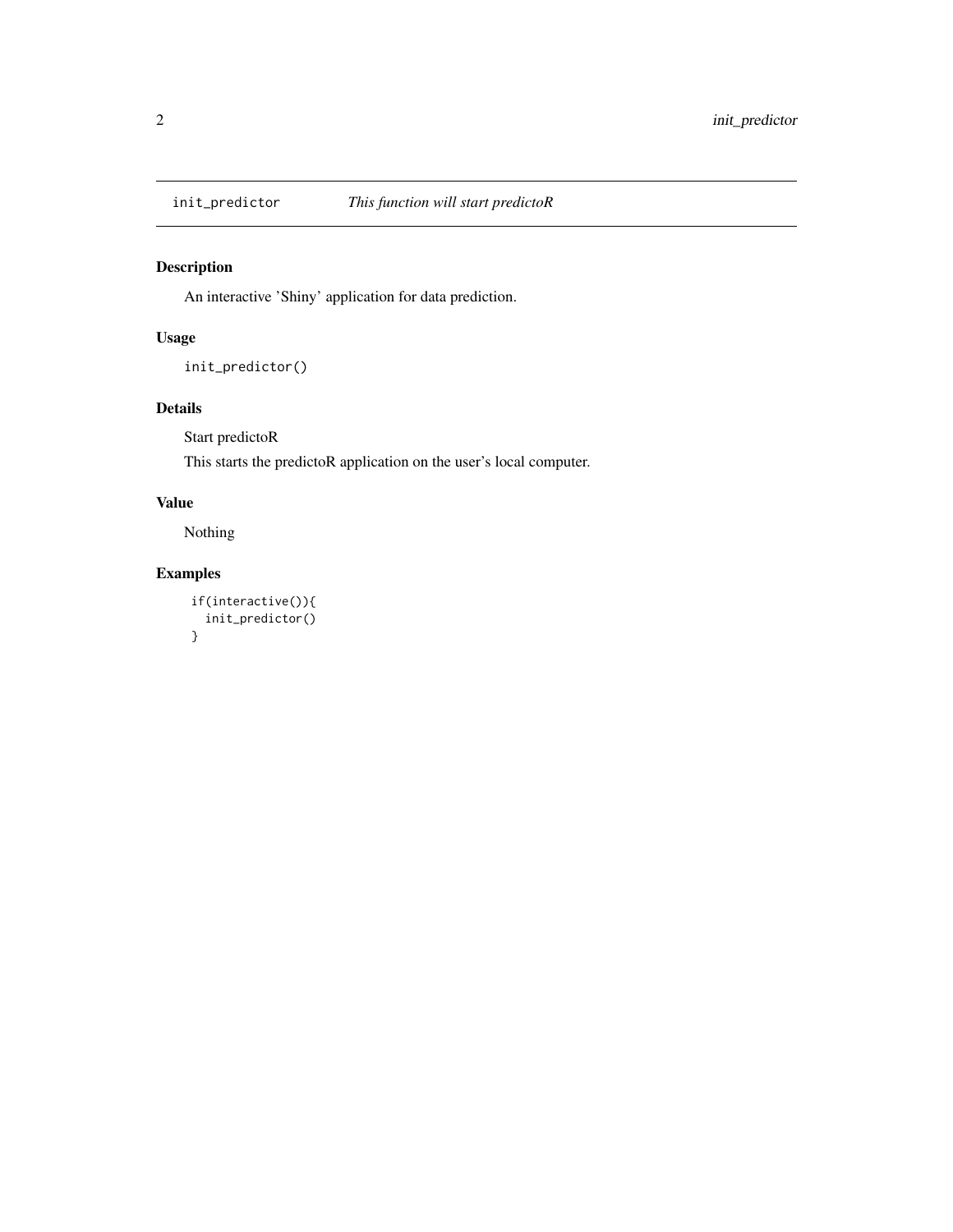<span id="page-1-0"></span>

#### Description

An interactive 'Shiny' application for data prediction.

#### Usage

```
init_predictor()
```
#### Details

Start predictoR

This starts the predictoR application on the user's local computer.

#### Value

Nothing

#### Examples

```
if(interactive()){
  init_predictor()
}
```